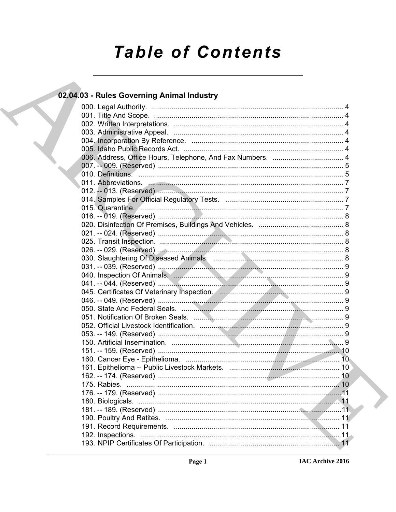# **Table of Contents**

| 02.04.03 - Rules Governing Animal Industry                                                                                                                                                                                     |  |
|--------------------------------------------------------------------------------------------------------------------------------------------------------------------------------------------------------------------------------|--|
|                                                                                                                                                                                                                                |  |
|                                                                                                                                                                                                                                |  |
|                                                                                                                                                                                                                                |  |
|                                                                                                                                                                                                                                |  |
|                                                                                                                                                                                                                                |  |
|                                                                                                                                                                                                                                |  |
|                                                                                                                                                                                                                                |  |
|                                                                                                                                                                                                                                |  |
|                                                                                                                                                                                                                                |  |
| 011. Abbreviations. 2008. 2009. 2009. 2011. 2012. 2014. 2014. 2014. 2014. 2014. 2015. 2016. 2016. 2016. 2016. 2016. 2016. 2016. 2016. 2016. 2016. 2016. 2016. 2016. 2016. 2016. 2016. 2016. 2016. 2016. 2016. 2016. 2016. 2016 |  |
|                                                                                                                                                                                                                                |  |
|                                                                                                                                                                                                                                |  |
| 015. Quarantine. <u>All manual communications</u> and the contract of the contract of the contract of the contract of t                                                                                                        |  |
|                                                                                                                                                                                                                                |  |
|                                                                                                                                                                                                                                |  |
|                                                                                                                                                                                                                                |  |
|                                                                                                                                                                                                                                |  |
|                                                                                                                                                                                                                                |  |
|                                                                                                                                                                                                                                |  |
|                                                                                                                                                                                                                                |  |
|                                                                                                                                                                                                                                |  |
|                                                                                                                                                                                                                                |  |
|                                                                                                                                                                                                                                |  |
|                                                                                                                                                                                                                                |  |
|                                                                                                                                                                                                                                |  |
|                                                                                                                                                                                                                                |  |
|                                                                                                                                                                                                                                |  |
|                                                                                                                                                                                                                                |  |
|                                                                                                                                                                                                                                |  |
|                                                                                                                                                                                                                                |  |
|                                                                                                                                                                                                                                |  |
|                                                                                                                                                                                                                                |  |
|                                                                                                                                                                                                                                |  |
|                                                                                                                                                                                                                                |  |
|                                                                                                                                                                                                                                |  |
|                                                                                                                                                                                                                                |  |
|                                                                                                                                                                                                                                |  |
|                                                                                                                                                                                                                                |  |
|                                                                                                                                                                                                                                |  |
|                                                                                                                                                                                                                                |  |
|                                                                                                                                                                                                                                |  |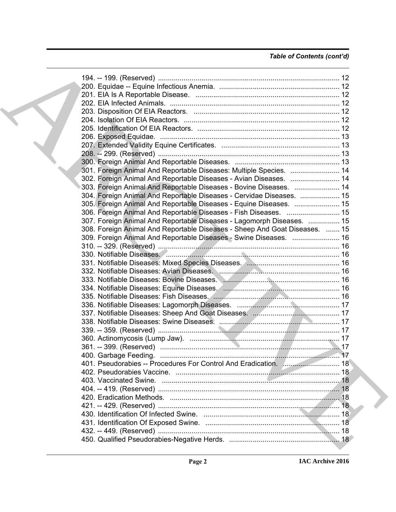#### *Table of Contents (cont'd)*

| 301. Foreign Animal And Reportable Diseases: Multiple Species.  14         |  |
|----------------------------------------------------------------------------|--|
| 302. Foreign Animal And Reportable Diseases - Avian Diseases.  14          |  |
| 303. Foreign Animal And Reportable Diseases - Bovine Diseases.  14         |  |
| 304. Foreign Animal And Reportable Diseases - Cervidae Diseases.  15       |  |
| 305. Foreign Animal And Reportable Diseases - Equine Diseases.  15         |  |
| 306. Foreign Animal And Reportable Diseases - Fish Diseases.  15           |  |
| 307. Foreign Animal And Reportable Diseases - Lagomorph Diseases.  15      |  |
| 308. Foreign Animal And Reportable Diseases - Sheep And Goat Diseases.  15 |  |
| 309. Foreign Animal And Reportable Diseases - Swine Diseases.  16          |  |
|                                                                            |  |
|                                                                            |  |
|                                                                            |  |
|                                                                            |  |
|                                                                            |  |
|                                                                            |  |
|                                                                            |  |
|                                                                            |  |
|                                                                            |  |
|                                                                            |  |
|                                                                            |  |
|                                                                            |  |
|                                                                            |  |
|                                                                            |  |
|                                                                            |  |
|                                                                            |  |
|                                                                            |  |
|                                                                            |  |
|                                                                            |  |
|                                                                            |  |
|                                                                            |  |
|                                                                            |  |
|                                                                            |  |
|                                                                            |  |
|                                                                            |  |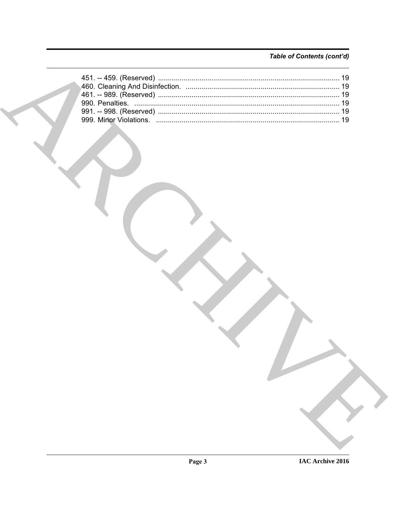### Table of Contents (cont'd)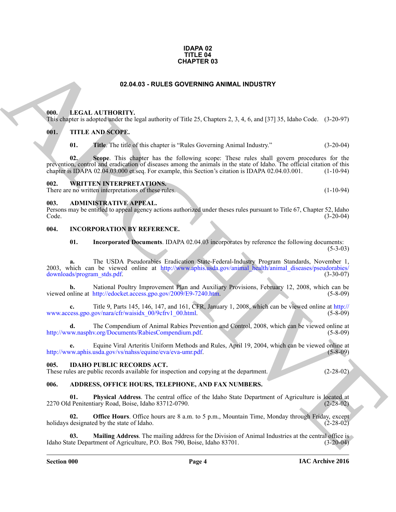#### **IDAPA 02 TITLE 04 CHAPTER 03**

#### **02.04.03 - RULES GOVERNING ANIMAL INDUSTRY**

#### <span id="page-3-1"></span><span id="page-3-0"></span>**000. LEGAL AUTHORITY.**

This chapter is adopted under the legal authority of Title 25, Chapters 2, 3, 4, 6, and [37] 35, Idaho Code. (3-20-97)

#### <span id="page-3-2"></span>**001. TITLE AND SCOPE.**

**01.** Title. The title of this chapter is "Rules Governing Animal Industry." (3-20-04)

**[CH](http://www.aphis.usda.gov/animal_health/animal_diseases/pseudorabies/downloads/program_stds.pdf)APTER 03**<br> **CHARCH[I](http://www.access.gpo.gov/nara/cfr/waisidx_00/9cfrv1_00.html)[V](http://www.nasphv.org/Documents/RabiesCompendium.pdf)E SOVERNING ANIMAL INDUSTRY**<br> **CHARCHIVE SOVERNING ANIMAL INDUSTRY**<br> **CHARCHIVE SOMEONE CONTINUES**<br> **CHARCHIVE SOMEONE CHARCHIVE SOMEONE CONTINUES**<br> **CHARCHIVE SOMEONE CONTINUES**<br> **CHARCHIVE SOMEONE 02. Scope**. This chapter has the following scope: These rules shall govern procedures for the prevention, control and eradication of diseases among the animals in the state of Idaho. The official citation of this chapter is IDAPA 02.04.03.000 et.seq. For example, this Section's citation is IDAPA 02.04.03.001. (1-10 chapter is IDAPA 02.04.03.000 et.seq. For example, this Section's citation is IDAPA 02.04.03.001.

#### <span id="page-3-3"></span>**002. WRITTEN INTERPRETATIONS.**

There are no written interpretations of these rules. (1-10-94)

#### <span id="page-3-4"></span>**003. ADMINISTRATIVE APPEAL.**

Persons may be entitled to appeal agency actions authorized under theses rules pursuant to Title 67, Chapter 52, Idaho Code. (3-20-04)

#### <span id="page-3-5"></span>**004. INCORPORATION BY REFERENCE.**

**01. Incorporated Documents**. IDAPA 02.04.03 incorporates by reference the following documents:  $(5-3-03)$ 

**a.** The USDA Pseudorabies Eradication State-Federal-Industry Program Standards, November 1, 2003, which can be viewed online at http://www.aphis.usda.gov/animal\_health/animal\_diseases/pseudorabies/<br>downloads/program stds.pdf. (3-30-07) downloads/program\_stds.pdf.

**b.** National Poultry Improvement Plan and Auxiliary Provisions, February 12, 2008, which can be nline at http://edocket.access.gpo.gov/2009/E9-7240.htm. (5-8-09) viewed online at http://edocket.access.gpo.gov/2009/E9-7240.htm.

**c.** Title 9, Parts 145, 146, 147, and 161, CFR, January 1, 2008, which can be viewed online at http://<br>cess.gpo.gov/nara/cfr/waisidx 00/9cfrv1 00.html. (5-8-09) www.access.gpo.gov/nara/cfr/waisidx\_00/9cfrv1\_00.html.

**d.** The Compendium of Animal Rabies Prevention and Control, 2008, which can be viewed online at two nasphy org/Documents/RabiesCompendium pdf. (5-8-09) http://www.nasphy.org/Documents/RabiesCompendium.pdf.

**e.** Equine Viral Arteritis Uniform Methods and Rules, April 19, 2004, which can be viewed online at www.aphis.usda.gov/vs/nahss/equine/eva/eva-umr.pdf. (5-8-09) http://www.aphis.usda.gov/vs/nahss/equine/eva/eva-umr.pdf.

#### <span id="page-3-6"></span>**005. IDAHO PUBLIC RECORDS ACT.**

These rules are public records available for inspection and copying at the department. (2-28-02)

#### <span id="page-3-7"></span>**006. ADDRESS, OFFICE HOURS, TELEPHONE, AND FAX NUMBERS.**

**01. Physical Address**. The central office of the Idaho State Department of Agriculture is located at 2270 Old Penitentiary Road, Boise, Idaho 83712-0790. (2-28-02)

**02. Office Hours**. Office hours are 8 a.m. to 5 p.m., Mountain Time, Monday through Friday, except designated by the state of Idaho. (2-28-02) holidays designated by the state of Idaho.

**Mailing Address**. The mailing address for the Division of Animal Industries at the central office is tment of Agriculture, P.O. Box 790, Boise, Idaho 83701. (3-20-04) Idaho State Department of Agriculture, P.O. Box 790, Boise, Idaho 83701.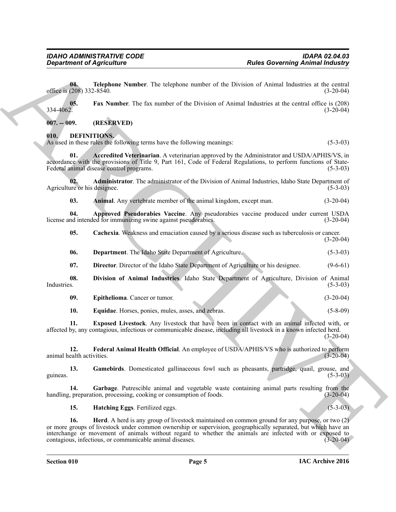**Equivariant of Approximate Constraints and the United Governing Animal industries<br>
of the United States Constraint Constraint Constraint Constraint Constraint Constraint Constraint Constraint Constraint Constraint Constr 04. Telephone Number**. The telephone number of the Division of Animal Industries at the central (208) 332-8540. (3-20-04) office is (208) 332-8540. **05.** Fax Number. The fax number of the Division of Animal Industries at the central office is (208) 334-4062.  $334-4062.$  (3-20-04) **007. -- 009. (RESERVED) 010. DEFINITIONS.**

<span id="page-4-1"></span><span id="page-4-0"></span>As used in these rules the following terms have the following meanings: (5-3-03)

<span id="page-4-2"></span>**01. Accredited Veterinarian**. A veterinarian approved by the Administrator and USDA/APHIS/VS, in accordance with the provisions of Title 9, Part 161, Code of Federal Regulations, to perform functions of State-Federal animal disease control programs. (5-3-03)

**02. Administrator**. The administrator of the Division of Animal Industries, Idaho State Department of are or his designee. (5-3-03) Agriculture or his designee.

<span id="page-4-5"></span><span id="page-4-4"></span><span id="page-4-3"></span>**03.** Animal. Any vertebrate member of the animal kingdom, except man.  $(3-20-04)$ 

**04. Approved Pseudorabies Vaccine**. Any pseudorabies vaccine produced under current USDA license and intended for immunizing swine against pseudorabies.

<span id="page-4-6"></span>**05.** Cachexia. Weakness and emaciation caused by a serious disease such as tuberculosis or cancer. (3-20-04)

<span id="page-4-7"></span>**06. Department**. The Idaho State Department of Agriculture. (5-3-03)

<span id="page-4-9"></span><span id="page-4-8"></span>**07. Director**. Director of the Idaho State Department of Agriculture or his designee. (9-6-61)

**08. Division of Animal Industries**. Idaho State Department of Agriculture, Division of Animal Industries. (5-3-03)

<span id="page-4-10"></span>**09. Epithelioma**. Cancer or tumor. (3-20-04)

<span id="page-4-13"></span><span id="page-4-12"></span><span id="page-4-11"></span>**10. Equidae**. Horses, ponies, mules, asses, and zebras. (5-8-09)

**11. Exposed Livestock**. Any livestock that have been in contact with an animal infected with, or affected by, any contagious, infectious or communicable disease, including all livestock in a known infected herd.  $(3-20-04)$ 

**12. Federal Animal Health Official**. An employee of USDA/APHIS/VS who is authorized to perform ealth activities. (3-20-04) animal health activities.

<span id="page-4-14"></span>**13. Gamebirds**. Domesticated gallinaceous fowl such as pheasants, partridge, quail, grouse, and guineas.  $(5-3-03)$ 

**14.** Garbage. Putrescible animal and vegetable waste containing animal parts resulting from the preparation, processing, cooking or consumption of foods.  $(3-20-04)$ handling, preparation, processing, cooking or consumption of foods.

<span id="page-4-17"></span><span id="page-4-16"></span><span id="page-4-15"></span>**15. Hatching Eggs**. Fertilized eggs. (5-3-03)

**16. Herd**. A herd is any group of livestock maintained on common ground for any purpose, or two (2) or more groups of livestock under common ownership or supervision, geographically separated, but which have an interchange or movement of animals without regard to whether the animals are infected with or exposed to contagious, infectious, or communicable animal diseases. (3-20-04) contagious, infectious, or communicable animal diseases.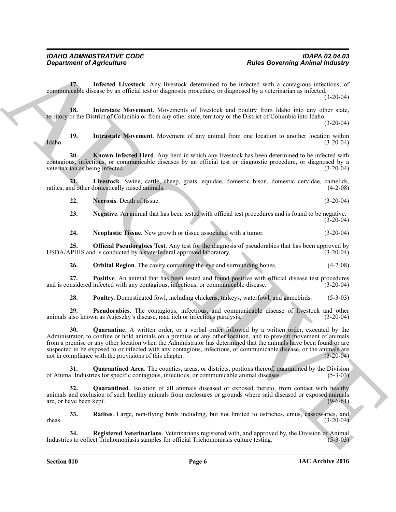<span id="page-5-0"></span>**17. Infected Livestock**. Any livestock determined to be infected with a contagious infectious, of communicable disease by an official test or diagnostic procedure, or diagnosed by a veterinarian as infected.

(3-20-04)

<span id="page-5-1"></span>**18. Interstate Movement**. Movements of livestock and poultry from Idaho into any other state, territory or the District of Columbia or from any other state, territory or the District of Columbia into Idaho.

(3-20-04)

<span id="page-5-2"></span>**19.** Intrastate Movement. Movement of any animal from one location to another location within (3-20-04) Idaho. (3-20-04)

<span id="page-5-3"></span>**20. Known Infected Herd**. Any herd in which any livestock has been determined to be infected with contagious, infectious, or communicable diseases by an official test or diagnostic procedure, or diagnosed by a veterinarian as being infected. (3-20-04)

**21. Livestock**. Swine, cattle, sheep, goats, equidae, domestic bison, domestic cervidae, camelids, ratites, and other domestically raised animals.

<span id="page-5-5"></span><span id="page-5-4"></span>**22. Necrosis**. Death of tissue. (3-20-04)

<span id="page-5-6"></span>**23. Negative**. An animal that has been tested with official test procedures and is found to be negative.  $(3-20-04)$ 

<span id="page-5-8"></span><span id="page-5-7"></span>**24. Neoplastic Tissue**. New growth or tissue associated with a tumor. (3-20-04)

**25. Official Pseudorabies Test**. Any test for the diagnosis of pseudorabies that has been approved by PHIS and is conducted by a state/federal approved laboratory. (3-20-04) USDA/APHIS and is conducted by a state/federal approved laboratory.

<span id="page-5-10"></span><span id="page-5-9"></span>**26. Orbital Region**. The cavity containing the eye and surrounding bones. (4-2-08)

**27. Positive**. An animal that has been tested and found positive with official disease test procedures insidered infected with any contagious, infectious, or communicable disease. (3-20-04) and is considered infected with any contagious, infectious, or communicable disease.

<span id="page-5-13"></span><span id="page-5-12"></span><span id="page-5-11"></span>**28. Poultry**. Domesticated fowl, including chickens, turkeys, waterfowl, and gamebirds. (5-3-03)

**29. Pseudorabies**. The contagious, infectious, and communicable disease of livestock and other also known as Aujeszky's disease, mad itch or infectious paralysis. (3-20-04) animals also known as Aujeszky's disease, mad itch or infectious paralysis.

**Experiment of Agriculture**<br> **Andre Governing Animal industries**<br>
Contained Marchive Lines the presentation of the main of the main of the main of the main of the state of the main of the state of the main of the state of **30. Quarantine**. A written order, or a verbal order followed by a written order, executed by the Administrator, to confine or hold animals on a premise or any other location, and to prevent movement of animals from a premise or any other location when the Administrator has determined that the animals have been found or are suspected to be exposed to or infected with any contagious, infectious, or communicable disease, or the animals are not in compliance with the provisions of this chapter. (3-20-04) not in compliance with the provisions of this chapter.

<span id="page-5-15"></span>**31. Quarantined Area**. The counties, areas, or districts, portions thereof, quarantined by the Division al Industries for specific contagious, infectious, or communicable animal diseases. (5-3-03) of Animal Industries for specific contagious, infectious, or communicable animal diseases.

<span id="page-5-14"></span>**32. Quarantined**. Isolation of all animals diseased or exposed thereto, from contact with healthy animals and exclusion of such healthy animals from enclosures or grounds where said diseased or exposed animals are, or have been kept. (9-6-61) are, or have been kept.

<span id="page-5-16"></span>**33.** Ratites. Large, non-flying birds including, but not limited to ostriches, emus, cassowaries, and (3-20-04)  $r_{\text{heas.}}$  (3-20-04)

<span id="page-5-17"></span>**34. Registered Veterinarians**. Veterinarians registered with, and approved by, the Division of Animal is to collect Trichomoniasis samples for official Trichomoniasis culture testing. (5-3-03) Industries to collect Trichomoniasis samples for official Trichomoniasis culture testing. (5-3-03)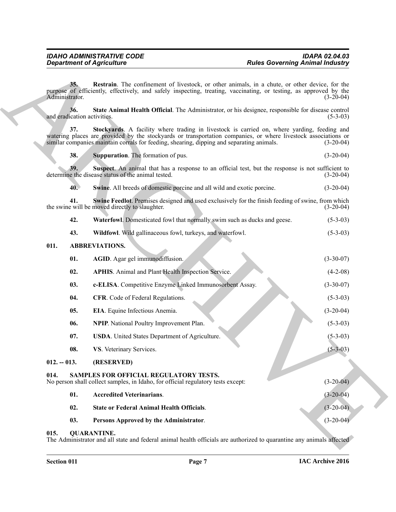<span id="page-6-17"></span><span id="page-6-16"></span><span id="page-6-15"></span><span id="page-6-14"></span><span id="page-6-13"></span><span id="page-6-12"></span>

| 38. |  | <b>Suppuration.</b> The formation of pus. | $(3-20-04)$ |
|-----|--|-------------------------------------------|-------------|
|-----|--|-------------------------------------------|-------------|

<span id="page-6-20"></span><span id="page-6-19"></span><span id="page-6-18"></span><span id="page-6-4"></span>

| 42. |  |  | Waterfowl. Domesticated fowl that normally swim such as ducks and geese. | $(5-3-03)$ |
|-----|--|--|--------------------------------------------------------------------------|------------|
|-----|--|--|--------------------------------------------------------------------------|------------|

#### <span id="page-6-10"></span><span id="page-6-9"></span><span id="page-6-8"></span><span id="page-6-7"></span><span id="page-6-6"></span><span id="page-6-5"></span><span id="page-6-0"></span>**011. ABBREVIATIONS.**

|                       | <b>Department of Agriculture</b>                                                                                           | <b>Rules Governing Animal Industry</b>                                                                                                                                                                                             |
|-----------------------|----------------------------------------------------------------------------------------------------------------------------|------------------------------------------------------------------------------------------------------------------------------------------------------------------------------------------------------------------------------------|
| 35.<br>Administrator. |                                                                                                                            | Restrain. The confinement of livestock, or other animals, in a chute, or other device, for the<br>purpose of efficiently, effectively, and safely inspecting, treating, vaccinating, or testing, as approved by the<br>$(3-20-04)$ |
| 36.                   | and eradication activities.                                                                                                | State Animal Health Official. The Administrator, or his designee, responsible for disease control<br>$(5-3-03)$                                                                                                                    |
| 37.                   | similar companies maintain corrals for feeding, shearing, dipping and separating animals.                                  | Stockyards. A facility where trading in livestock is carried on, where yarding, feeding and<br>watering places are provided by the stockyards or transportation companies, or where livestock associations or<br>$(3-20-04)$       |
| 38.                   | Suppuration. The formation of pus.                                                                                         | $(3-20-04)$                                                                                                                                                                                                                        |
| 39.                   | determine the disease status of the animal tested.                                                                         | Suspect. An animal that has a response to an official test, but the response is not sufficient to<br>$(3-20-04)$                                                                                                                   |
| 40.                   | Swine. All breeds of domestic porcine and all wild and exotic porcine.                                                     | $(3-20-04)$                                                                                                                                                                                                                        |
| 41.                   | the swine will be moved directly to slaughter.                                                                             | <b>Swine Feedlot.</b> Premises designed and used exclusively for the finish feeding of swine, from which<br>$(3-20-04)$                                                                                                            |
| 42.                   | Waterfowl. Domesticated fowl that normally swim such as ducks and geese.                                                   | $(5-3-03)$                                                                                                                                                                                                                         |
| 43.                   | Wildfowl. Wild gallinaceous fowl, turkeys, and waterfowl.                                                                  | $(5-3-03)$                                                                                                                                                                                                                         |
| 011.                  | <b>ABBREVIATIONS.</b>                                                                                                      |                                                                                                                                                                                                                                    |
| 01.                   | AGID. Agar gel immunodiffusion.                                                                                            | $(3-30-07)$                                                                                                                                                                                                                        |
| 02.                   | <b>APHIS.</b> Animal and Plant Health Inspection Service.                                                                  | $(4-2-08)$                                                                                                                                                                                                                         |
| 03.                   | c-ELISA. Competitive Enzyme Linked Immunosorbent Assay.                                                                    | $(3-30-07)$                                                                                                                                                                                                                        |
| 04.                   | CFR. Code of Federal Regulations.                                                                                          | $(5-3-03)$                                                                                                                                                                                                                         |
| 05.                   | EIA. Equine Infectious Anemia.                                                                                             | $(3-20-04)$                                                                                                                                                                                                                        |
| 06.                   | <b>NPIP.</b> National Poultry Improvement Plan.                                                                            | $(5-3-03)$                                                                                                                                                                                                                         |
| 07.                   | <b>USDA</b> . United States Department of Agriculture.                                                                     | $(5-3-03)$                                                                                                                                                                                                                         |
| 08.                   | VS. Veterinary Services.                                                                                                   | $(5 - 3 - 03)$                                                                                                                                                                                                                     |
| $012. - 013.$         | (RESERVED)                                                                                                                 |                                                                                                                                                                                                                                    |
| 014.                  | SAMPLES FOR OFFICIAL REGULATORY TESTS.<br>No person shall collect samples, in Idaho, for official regulatory tests except: | $(3-20-04)$                                                                                                                                                                                                                        |
| 01.                   | <b>Accredited Veterinarians.</b>                                                                                           | $(3-20-04)$                                                                                                                                                                                                                        |
| 02.                   | <b>State or Federal Animal Health Officials.</b>                                                                           | $(3-20-04)$                                                                                                                                                                                                                        |
|                       | 03.<br>Persons Approved by the Administrator.                                                                              | $(3-20-04)$                                                                                                                                                                                                                        |

#### <span id="page-6-23"></span><span id="page-6-22"></span><span id="page-6-21"></span><span id="page-6-11"></span><span id="page-6-3"></span><span id="page-6-2"></span><span id="page-6-1"></span>**015. QUARANTINE.**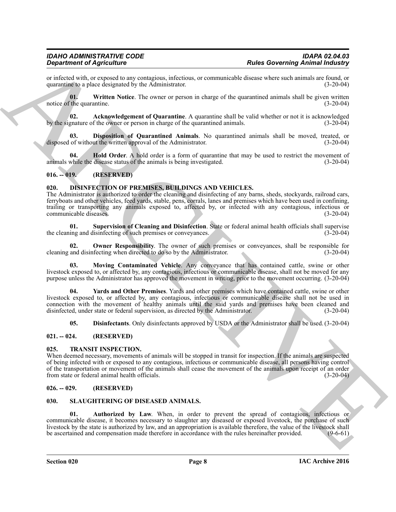or infected with, or exposed to any contagious, infectious, or communicable disease where such animals are found, or quarantine to a place designated by the Administrator.

<span id="page-7-14"></span>**01. Written Notice**. The owner or person in charge of the quarantined animals shall be given written notice of the quarantine. (3-20-04)

<span id="page-7-11"></span>**02.** Acknowledgement of Quarantine. A quarantine shall be valid whether or not it is acknowledged gnature of the owner or person in charge of the quarantined animals. (3-20-04) by the signature of the owner or person in charge of the quarantined animals.

<span id="page-7-12"></span>**03. Disposition of Quarantined Animals**. No quarantined animals shall be moved, treated, or of without the written approval of the Administrator. (3-20-04) disposed of without the written approval of the Administrator.

<span id="page-7-13"></span>**04. Hold Order**. A hold order is a form of quarantine that may be used to restrict the movement of while the disease status of the animals is being investigated. (3-20-04) animals while the disease status of the animals is being investigated.

#### <span id="page-7-0"></span>**016. -- 019. (RESERVED)**

#### <span id="page-7-1"></span>**020. DISINFECTION OF PREMISES, BUILDINGS AND VEHICLES.**

For the control of the matter of the control of the control of the control of the control of the control of the control of the control of the control of the control of the control of the control of the control of the cont The Administrator is authorized to order the cleaning and disinfecting of any barns, sheds, stockyards, railroad cars, ferryboats and other vehicles, feed yards, stable, pens, corrals, lanes and premises which have been used in confining, trailing or transporting any animals exposed to, affected by, or infected with any contagious, infectious or communicable diseases.

<span id="page-7-9"></span>**01. Supervision of Cleaning and Disinfection**. State or federal animal health officials shall supervise the cleaning and disinfecting of such premises or conveyances. (3-20-04)

<span id="page-7-8"></span>**02.** Owner Responsibility. The owner of such premises or conveyances, shall be responsible for and disinfecting when directed to do so by the Administrator. (3-20-04) cleaning and disinfecting when directed to do so by the Administrator.

<span id="page-7-7"></span>**03. Moving Contaminated Vehicle**. Any conveyance that has contained cattle, swine or other livestock exposed to, or affected by, any contagious, infectious or communicable disease, shall not be moved for any purpose unless the Administrator has approved the movement in writing, prior to the movement occurring. (3-20-04)

**04. Yards and Other Premises**. Yards and other premises which have contained cattle, swine or other livestock exposed to, or affected by, any contagious, infectious or communicable disease shall not be used in connection with the movement of healthy animals until the said yards and premises have been cleaned and disinfected, under state or federal supervision, as directed by the Administrator. (3-20-04)

<span id="page-7-16"></span><span id="page-7-10"></span><span id="page-7-6"></span>**05. Disinfectants**. Only disinfectants approved by USDA or the Administrator shall be used. (3-20-04)

#### <span id="page-7-2"></span>**021. -- 024. (RESERVED)**

#### <span id="page-7-3"></span>**025. TRANSIT INSPECTION.**

When deemed necessary, movements of animals will be stopped in transit for inspection. If the animals are suspected of being infected with or exposed to any contagious, infectious or communicable disease, all persons having control of the transportation or movement of the animals shall cease the movement of the animals upon receipt of an order from state or federal animal health officials. (3-20-04) from state or federal animal health officials.

#### <span id="page-7-4"></span>**026. -- 029. (RESERVED)**

#### <span id="page-7-5"></span>**030. SLAUGHTERING OF DISEASED ANIMALS.**

<span id="page-7-15"></span>**01. Authorized by Law**. When, in order to prevent the spread of contagious, infectious or communicable disease, it becomes necessary to slaughter any diseased or exposed livestock, the purchase of such livestock by the state is authorized by law, and an appropriation is available therefore, the value of the livestock shall<br>be ascertained and compensation made therefore in accordance with the rules hereinafter provided. ( be ascertained and compensation made therefore in accordance with the rules hereinafter provided.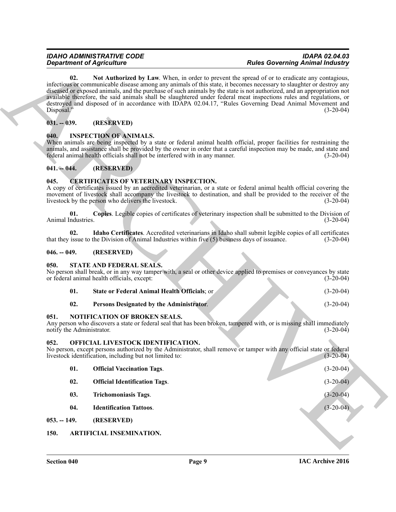#### <span id="page-8-18"></span><span id="page-8-0"></span>**031. -- 039. (RESERVED)**

#### <span id="page-8-12"></span><span id="page-8-1"></span>**040. INSPECTION OF ANIMALS.**

#### <span id="page-8-2"></span>**041. -- 044. (RESERVED)**

#### <span id="page-8-10"></span><span id="page-8-3"></span>**045. CERTIFICATES OF VETERINARY INSPECTION.**

#### <span id="page-8-11"></span><span id="page-8-4"></span>**046. -- 049. (RESERVED)**

#### <span id="page-8-5"></span>**050. STATE AND FEDERAL SEALS.**

<span id="page-8-20"></span><span id="page-8-19"></span><span id="page-8-13"></span>

|     | <b>State or Federal Animal Health Officials: or</b> | $(3-20-04)$ |
|-----|-----------------------------------------------------|-------------|
| 02. | Persons Designated by the Administrator.            | $(3-20-04)$ |

#### <span id="page-8-6"></span>**051. NOTIFICATION OF BROKEN SEALS.**

#### <span id="page-8-17"></span><span id="page-8-16"></span><span id="page-8-15"></span><span id="page-8-14"></span><span id="page-8-9"></span><span id="page-8-8"></span><span id="page-8-7"></span>**052. OFFICIAL LIVESTOCK IDENTIFICATION.**

|                                   | <b>Department of Agriculture</b>                                                                             | <b>Rules Governing Animal Industry</b>                                                                                                                                                                                                                                                                                                                                                                                                                                                                                                                                            |             |
|-----------------------------------|--------------------------------------------------------------------------------------------------------------|-----------------------------------------------------------------------------------------------------------------------------------------------------------------------------------------------------------------------------------------------------------------------------------------------------------------------------------------------------------------------------------------------------------------------------------------------------------------------------------------------------------------------------------------------------------------------------------|-------------|
| 02.<br>Disposal."                 |                                                                                                              | Not Authorized by Law. When, in order to prevent the spread of or to eradicate any contagious,<br>infectious or communicable disease among any animals of this state, it becomes necessary to slaughter or destroy any<br>diseased or exposed animals, and the purchase of such animals by the state is not authorized, and an appropriation not<br>available therefore, the said animals shall be slaughtered under federal meat inspections rules and regulations, or<br>destroyed and disposed of in accordance with IDAPA 02.04.17, "Rules Governing Dead Animal Movement and | $(3-20-04)$ |
| $031. - 039.$                     | (RESERVED)                                                                                                   |                                                                                                                                                                                                                                                                                                                                                                                                                                                                                                                                                                                   |             |
| 040.                              | <b>INSPECTION OF ANIMALS.</b><br>federal animal health officials shall not be interfered with in any manner. | When animals are being inspected by a state or federal animal health official, proper facilities for restraining the<br>animals, and assistance shall be provided by the owner in order that a careful inspection may be made, and state and                                                                                                                                                                                                                                                                                                                                      | $(3-20-04)$ |
| $041. - 044.$                     | (RESERVED)                                                                                                   |                                                                                                                                                                                                                                                                                                                                                                                                                                                                                                                                                                                   |             |
| 045.                              | <b>CERTIFICATES OF VETERINARY INSPECTION.</b><br>livestock by the person who delivers the livestock.         | A copy of certificates issued by an accredited veterinarian, or a state or federal animal health official covering the<br>movement of livestock shall accompany the livestock to destination, and shall be provided to the receiver of the                                                                                                                                                                                                                                                                                                                                        | $(3-20-04)$ |
| 01.<br>Animal Industries.         |                                                                                                              | Copies. Legible copies of certificates of veterinary inspection shall be submitted to the Division of                                                                                                                                                                                                                                                                                                                                                                                                                                                                             | $(3-20-04)$ |
| 02.                               | that they issue to the Division of Animal Industries within five (5) business days of issuance.              | Idaho Certificates. Accredited veterinarians in Idaho shall submit legible copies of all certificates                                                                                                                                                                                                                                                                                                                                                                                                                                                                             | $(3-20-04)$ |
| $046. - 049.$                     | (RESERVED)                                                                                                   |                                                                                                                                                                                                                                                                                                                                                                                                                                                                                                                                                                                   |             |
| 050.                              | STATE AND FEDERAL SEALS.<br>or federal animal health officials, except:                                      | No person shall break, or in any way tamper with, a seal or other device applied to premises or conveyances by state                                                                                                                                                                                                                                                                                                                                                                                                                                                              | $(3-20-04)$ |
| 01.                               | State or Federal Animal Health Officials; or                                                                 |                                                                                                                                                                                                                                                                                                                                                                                                                                                                                                                                                                                   | $(3-20-04)$ |
| 02.                               | Persons Designated by the Administrator.                                                                     |                                                                                                                                                                                                                                                                                                                                                                                                                                                                                                                                                                                   | $(3-20-04)$ |
| 051.<br>notify the Administrator. | NOTIFICATION OF BROKEN SEALS.                                                                                | Any person who discovers a state or federal seal that has been broken, tampered with, or is missing shall immediately                                                                                                                                                                                                                                                                                                                                                                                                                                                             | $(3-20-04)$ |
| 052.                              | OFFICIAL LIVESTOCK IDENTIFICATION.<br>livestock identification, including but not limited to:                | No person, except persons authorized by the Administrator, shall remove or tamper with any official state or federal                                                                                                                                                                                                                                                                                                                                                                                                                                                              | $(3-20-04)$ |
| 01.                               | <b>Official Vaccination Tags.</b>                                                                            |                                                                                                                                                                                                                                                                                                                                                                                                                                                                                                                                                                                   | $(3-20-04)$ |
| 02.                               | <b>Official Identification Tags.</b>                                                                         |                                                                                                                                                                                                                                                                                                                                                                                                                                                                                                                                                                                   | $(3-20-04)$ |
| 03.                               | <b>Trichomoniasis Tags.</b>                                                                                  |                                                                                                                                                                                                                                                                                                                                                                                                                                                                                                                                                                                   | $(3-20-04)$ |
| 04.                               | <b>Identification Tattoos.</b>                                                                               |                                                                                                                                                                                                                                                                                                                                                                                                                                                                                                                                                                                   | $(3-20-04)$ |
| $053. - 149.$                     | (RESERVED)                                                                                                   |                                                                                                                                                                                                                                                                                                                                                                                                                                                                                                                                                                                   |             |
| 150.                              | ARTIFICIAL INSEMINATION.                                                                                     |                                                                                                                                                                                                                                                                                                                                                                                                                                                                                                                                                                                   |             |
|                                   |                                                                                                              |                                                                                                                                                                                                                                                                                                                                                                                                                                                                                                                                                                                   |             |
|                                   |                                                                                                              |                                                                                                                                                                                                                                                                                                                                                                                                                                                                                                                                                                                   |             |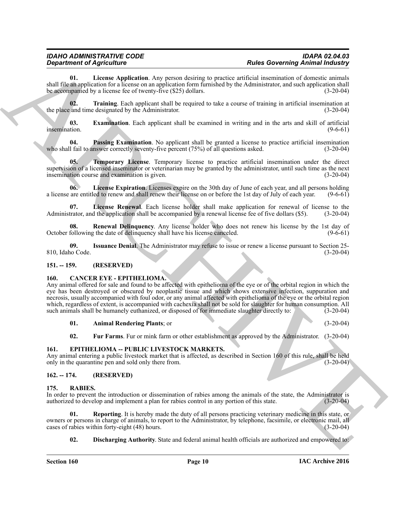## *IDAHO ADMINISTRATIVE CODE IDAPA 02.04.03*

<span id="page-9-7"></span>**01. License Application**. Any person desiring to practice artificial insemination of domestic animals shall file an application for a license on an application form furnished by the Administrator, and such application shall be accompanied by a license fee of twenty-five (\$25) dollars. (3-20-04)

<span id="page-9-13"></span>**02. Training**. Each applicant shall be required to take a course of training in artificial insemination at the place and time designated by the Administrator. (3-20-04)

<span id="page-9-5"></span>**03. Examination**. Each applicant shall be examined in writing and in the arts and skill of artificial insemination. (9-6-61) insemination. (9-6-61)

<span id="page-9-10"></span>**04. Passing Examination**. No applicant shall be granted a license to practice artificial insemination 1 fail to answer correctly seventy-five percent (75%) of all questions asked. (3-20-04) who shall fail to answer correctly seventy-five percent  $(75%)$  of all questions asked.

<span id="page-9-12"></span>**05. Temporary License**. Temporary license to practice artificial insemination under the direct supervision of a licensed inseminator or veterinarian may be granted by the administrator, until such time as the next insemination course and examination is given. (3-20-04)

<span id="page-9-8"></span>**06. License Expiration**. Licenses expire on the 30th day of June of each year, and all persons holding a license are entitled to renew and shall renew their license on or before the 1st day of July of each year. (9-6-61)

<span id="page-9-9"></span>**07.** License Renewal. Each license holder shall make application for renewal of license to the trator, and the application shall be accompanied by a renewal license fee of five dollars (\$5). (3-20-04) Administrator, and the application shall be accompanied by a renewal license fee of five dollars (\$5).

<span id="page-9-11"></span>**08. Renewal Delinquency**. Any license holder who does not renew his license by the 1st day of October following the date of delinquency shall have his license canceled. (9-6-61)

<span id="page-9-6"></span>**09.** Issuance Denial. The Administrator may refuse to issue or renew a license pursuant to Section 25-<br>10 (3-20-04) 810, Idaho Code.

#### <span id="page-9-0"></span>**151. -- 159. (RESERVED)**

#### <span id="page-9-1"></span>**160. CANCER EYE - EPITHELIOMA.**

**Experimented Approximation** Constraint Constraint Constraint Constraint Constraint Construction (Application Application Application Application Application Application Application Application Application Application App Any animal offered for sale and found to be affected with epithelioma of the eye or of the orbital region in which the eye has been destroyed or obscured by neoplastic tissue and which shows extensive infection, suppuration and necrosis, usually accompanied with foul odor, or any animal affected with epithelioma of the eye or the orbital region which, regardless of extent, is accompanied with cachexia shall not be sold for slaughter for human consumption. All such animals shall be humanely euthanized, or disposed of for immediate slaughter directly to: (3-20-04)

<span id="page-9-14"></span>**01. Animal Rendering Plants**; or (3-20-04)

<span id="page-9-16"></span><span id="page-9-15"></span>**02.** Fur Farms. Fur or mink farm or other establishment as approved by the Administrator. (3-20-04)

#### <span id="page-9-2"></span>**161. EPITHELIOMA -- PUBLIC LIVESTOCK MARKETS.**

Any animal entering a public livestock market that is affected, as described in Section 160 of this rule, shall be held only in the quarantine pen and sold only there from. (3-20-04) only in the quarantine pen and sold only there from.

#### <span id="page-9-3"></span>**162. -- 174. (RESERVED)**

#### <span id="page-9-4"></span>**175. RABIES.**

In order to prevent the introduction or dissemination of rabies among the animals of the state, the Administrator is authorized to develop and implement a plan for rabies control in any portion of this state. (3-20-04) authorized to develop and implement a plan for rabies control in any portion of this state.

**01. Reporting**. It is hereby made the duty of all persons practicing veterinary medicine in this state, or owners or persons in charge of animals, to report to the Administrator, by telephone, facsimile, or electronic mail, all cases of rabies within forty-eight (48) hours. cases of rabies within forty-eight (48) hours.

<span id="page-9-18"></span><span id="page-9-17"></span>**02. Discharging Authority**. State and federal animal health officials are authorized and empowered to: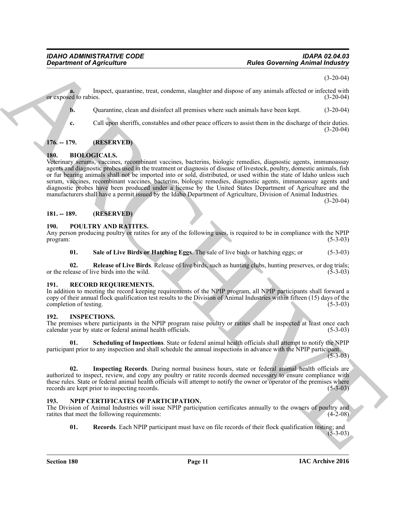$(3-20-04)$ 

**a.** Inspect, quarantine, treat, condemn, slaughter and dispose of any animals affected or infected with or exposed to rabies. (3-20-04)

**b.** Quarantine, clean and disinfect all premises where such animals have been kept.  $(3-20-04)$ 

**c.** Call upon sheriffs, constables and other peace officers to assist them in the discharge of their duties.  $(3-20-04)$ 

#### <span id="page-10-0"></span>**176. -- 179. (RESERVED)**

#### <span id="page-10-7"></span><span id="page-10-1"></span>**180. BIOLOGICALS.**

**Experiment of Agriculture**<br> **Archives** (Separation entity and contents also provide the New York (Separation (Separation (Separation entity)<br>
A Channeline, element and similar provide substitute the provide substitute in Veterinary serums, vaccines, recombinant vaccines, bacterins, biologic remedies, diagnostic agents, immunoassay agents and diagnostic probes used in the treatment or diagnosis of disease of livestock, poultry, domestic animals, fish or fur bearing animals shall not be imported into or sold, distributed, or used within the state of Idaho unless such serum, vaccines, recombinant vaccines, bacterins, biologic remedies, diagnostic agents, immunoassay agents and diagnostic probes have been produced under a license by the United States Department of Agriculture and the manufacturers shall have a permit issued by the Idaho Department of Agriculture, Division of Animal Industries.

(3-20-04)

#### <span id="page-10-2"></span>**181. -- 189. (RESERVED)**

#### <span id="page-10-3"></span>**190. POULTRY AND RATITES.**

Any person producing poultry or ratites for any of the following uses, is required to be in compliance with the NPIP program: (5-3-03) program:  $(5-3-03)$ 

<span id="page-10-12"></span><span id="page-10-11"></span>**01. Sale of Live Birds or Hatching Eggs**. The sale of live birds or hatching eggs; or (5-3-03)

**02.** Release of Live Birds. Release of live birds, such as hunting clubs, hunting preserves, or dog trials; (5-3-03) or the release of live birds into the wild.

#### <span id="page-10-13"></span><span id="page-10-4"></span>**191. RECORD REQUIREMENTS.**

In addition to meeting the record keeping requirements of the NPIP program, all NPIP participants shall forward a copy of their annual flock qualification test results to the Division of Animal Industries within fifteen (15) days of the completion of testing.

#### <span id="page-10-5"></span>**192. INSPECTIONS.**

The premises where participants in the NPIP program raise poultry or ratites shall be inspected at least once each calendar vear by state or federal animal health officials. (5-3-03) calendar year by state or federal animal health officials.

<span id="page-10-9"></span>**01. Scheduling of Inspections**. State or federal animal health officials shall attempt to notify the NPIP participant prior to any inspection and shall schedule the annual inspections in advance with the NPIP participant.  $(5 - 3 - 03)$ 

<span id="page-10-8"></span>**02. Inspecting Records**. During normal business hours, state or federal animal health officials are authorized to inspect, review, and copy any poultry or ratite records deemed necessary to ensure compliance with these rules. State or federal animal health officials will attempt to notify the owner or operator of the premises where records are kept prior to inspecting records. (5-3-03) records are kept prior to inspecting records.

#### <span id="page-10-6"></span>**193. NPIP CERTIFICATES OF PARTICIPATION.**

The Division of Animal Industries will issue NPIP participation certificates annually to the owners of poultry and ratities that meet the following requirements: (4-2-08)

<span id="page-10-10"></span>**01. Records**. Each NPIP participant must have on file records of their flock qualification testing; and  $(5-3-03)$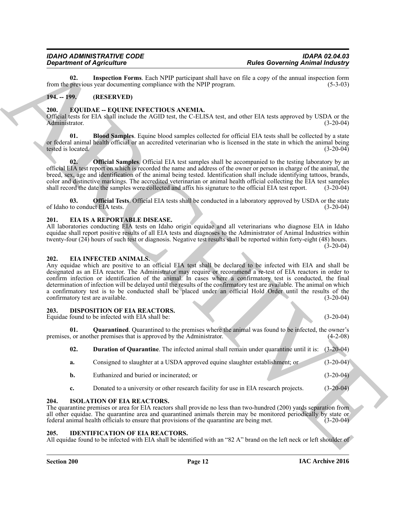<span id="page-11-17"></span>**02.** Inspection Forms. Each NPIP participant shall have on file a copy of the annual inspection form previous vear documenting compliance with the NPIP program. (5-3-03) from the previous year documenting compliance with the NPIP program.

#### <span id="page-11-0"></span>**194. -- 199. (RESERVED)**

#### <span id="page-11-1"></span>**200. EQUIDAE -- EQUINE INFECTIOUS ANEMIA.**

Official tests for EIA shall include the AGID test, the C-ELISA test, and other EIA tests approved by USDA or the Administrator. (3-20-04) Administrator. (3-20-04)

<span id="page-11-12"></span>**01. Blood Samples**. Equine blood samples collected for official EIA tests shall be collected by a state or federal animal health official or an accredited veterinarian who is licensed in the state in which the animal being tested is located. (3-20-04) tested is located.

<span id="page-11-13"></span>**02. Official Samples**. Official EIA test samples shall be accompanied to the testing laboratory by an official EIA test report on which is recorded the name and address of the owner or person in charge of the animal, the breed, sex, age and identification of the animal being tested. Identification shall include identifying tattoos, brands, color and distinctive markings. The accredited veterinarian or animal health official collecting the EIA test samples shall record the date the samples were collected and affix his signature to the official EIA test report shall record the date the samples were collected and affix his signature to the official EIA test report.

<span id="page-11-14"></span>**03. Official Tests**. Official EIA tests shall be conducted in a laboratory approved by USDA or the state of Idaho to conduct EIA tests. (3-20-04)

#### <span id="page-11-10"></span><span id="page-11-2"></span>**201. EIA IS A REPORTABLE DISEASE.**

All laboratories conducting EIA tests on Idaho origin equidae and all veterinarians who diagnose EIA in Idaho equidae shall report positive results of all EIA tests and diagnoses to the Administrator of Animal Industries within twenty-four (24) hours of such test or diagnosis. Negative test results shall be reported within forty-eight (48) hours. (3-20-04)

#### <span id="page-11-11"></span><span id="page-11-3"></span>**202. EIA INFECTED ANIMALS.**

**Example of Aprical Islam Section 14** Real Concerning the lines of European Section 14 Real Concerning Aprini Islam Section 14<br>
Example of the same of the same of the same of the same of the same of the same of the same o Any equidae which are positive to an official EIA test shall be declared to be infected with EIA and shall be designated as an EIA reactor. The Administrator may require or recommend a re-test of EIA reactors in order to confirm infection or identification of the animal. In cases where a confirmatory test is conducted, the final determination of infection will be delayed until the results of the confirmatory test are available. The animal on which a confirmatory test is to be conducted shall be placed under an official Hold Order until the results of the confirmatory test are available. (3-20-04) confirmatory test are available.

#### <span id="page-11-7"></span><span id="page-11-4"></span>**203. DISPOSITION OF EIA REACTORS.**

Equidae found to be infected with EIA shall be: (3-20-04)

**01. Quarantined**. Quarantined to the premises where the animal was found to be infected, the owner's or another premises that is approved by the Administrator. (4-2-08) premises, or another premises that is approved by the Administrator.

<span id="page-11-9"></span><span id="page-11-8"></span>**02. Duration of Quarantine**. The infected animal shall remain under quarantine until it is: (3-20-04)

- **a.** Consigned to slaughter at a USDA approved equine slaughter establishment; or (3-20-04)
- **b.** Euthanized and buried or incinerated; or (3-20-04)
- <span id="page-11-16"></span>**c.** Donated to a university or other research facility for use in EIA research projects.  $(3-20-04)$

#### <span id="page-11-5"></span>**204. ISOLATION OF EIA REACTORS.**

The quarantine premises or area for EIA reactors shall provide no less than two-hundred (200) yards separation from all other equidae. The quarantine area and quarantined animals therein may be monitored periodically by state or federal animal health officials to ensure that provisions of the quarantine are being met. (3-20-04) federal animal health officials to ensure that provisions of the quarantine are being met.

#### <span id="page-11-15"></span><span id="page-11-6"></span>**205. IDENTIFICATION OF EIA REACTORS.**

All equidae found to be infected with EIA shall be identified with an "82 A" brand on the left neck or left shoulder of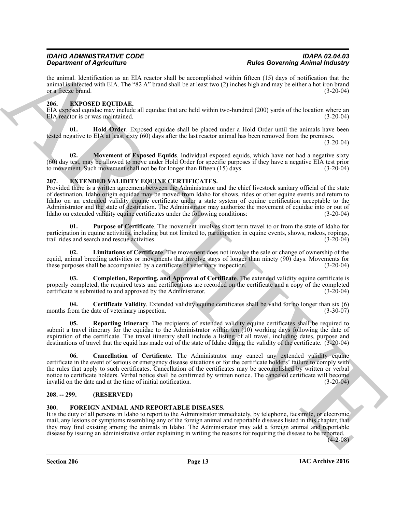the animal. Identification as an EIA reactor shall be accomplished within fifteen (15) days of notification that the animal is infected with EIA. The "82 A" brand shall be at least two (2) inches high and may be either a hot iron brand or a freeze brand.  $(3-20-04)$ or a freeze brand.

#### <span id="page-12-0"></span>**206. EXPOSED EQUIDAE.**

EIA exposed equidae may include all equidae that are held within two-hundred (200) yards of the location where an EIA reactor is or was maintained. EIA reactor is or was maintained.

<span id="page-12-4"></span>**01. Hold Order**. Exposed equidae shall be placed under a Hold Order until the animals have been tested negative to EIA at least sixty (60) days after the last reactor animal has been removed from the premises.

(3-20-04)

<span id="page-12-5"></span>**02.** Movement of Exposed Equids. Individual exposed equids, which have not had a negative sixty (60) day test, may be allowed to move under Hold Order for specific purposes if they have a negative EIA test prior to movement. Such movement shall not be for longer than fifteen (15) days. (3-20-04)

#### <span id="page-12-1"></span>**207. EXTENDED VALIDITY EQUINE CERTIFICATES.**

**Example of April 1980**<br> **Example of April 1980**<br> **Example of April 1980**<br> **Example of April 1980**<br> **Example of April 1980**<br> **Example of April 1980**<br> **Example of April 1980**<br> **ARCHIVES CONTINE OF APPROXIMATION CONTINUES (** Provided there is a written agreement between the Administrator and the chief livestock sanitary official of the state of destination, Idaho origin equidae may be moved from Idaho for shows, rides or other equine events and return to Idaho on an extended validity equine certificate under a state system of equine certification acceptable to the Administrator and the state of destination. The Administrator may authorize the movement of equidae into or out of Idaho on extended validity equine certificates under the following conditions: (3-20-04) Idaho on extended validity equine certificates under the following conditions:

<span id="page-12-10"></span>**01. Purpose of Certificate**. The movement involves short term travel to or from the state of Idaho for participation in equine activities, including but not limited to, participation in equine events, shows, rodeos, ropings, trail rides and search and rescue activities. trail rides and search and rescue activities.

<span id="page-12-9"></span>**02. Limitations of Certificate**. The movement does not involve the sale or change of ownership of the equid, animal breeding activities or movements that involve stays of longer than ninety (90) days. Movements for these purposes shall be accompanied by a certificate of veterinary inspection. (3-20-04) these purposes shall be accompanied by a certificate of veterinary inspection.

<span id="page-12-8"></span>**03. Completion, Reporting, and Approval of Certificate**. The extended validity equine certificate is properly completed, the required tests and certifications are recorded on the certificate and a copy of the completed certificate is submitted to and approved by the Administrator.

<span id="page-12-7"></span>**04. Certificate Validity**. Extended validity equine certificates shall be valid for no longer than six (6) months from the date of veterinary inspection.

<span id="page-12-11"></span>**05. Reporting Itinerary**. The recipients of extended validity equine certificates shall be required to submit a travel itinerary for the equidae to the Administrator within ten (10) working days following the date of expiration of the certificate. The travel itinerary shall include a listing of all travel, including dates, purpose and destinations of travel that the equid has made out of the state of Idaho during the validity of the certificate. (3-20-04)

<span id="page-12-6"></span>**06. Cancellation of Certificate**. The Administrator may cancel any extended validity equine certificate in the event of serious or emergency disease situations or for the certificate holders' failure to comply with the rules that apply to such certificates. Cancellation of the certificates may be accomplished by written or verbal notice to certificate holders. Verbal notice shall be confirmed by written notice. The canceled certificate will become invalid on the date and at the time of initial notification. (3-20-04)

#### <span id="page-12-2"></span>**208. -- 299. (RESERVED)**

#### <span id="page-12-12"></span><span id="page-12-3"></span>**300. FOREIGN ANIMAL AND REPORTABLE DISEASES.**

It is the duty of all persons in Idaho to report to the Administrator immediately, by telephone, facsimile, or electronic mail, any lesions or symptoms resembling any of the foreign animal and reportable diseases listed in this chapter, that they may find existing among the animals in Idaho. The Administrator may add a foreign animal and reportable disease by issuing an administrative order explaining in writing the reasons for requiring the disease to be reported.

 $(4-2-08)$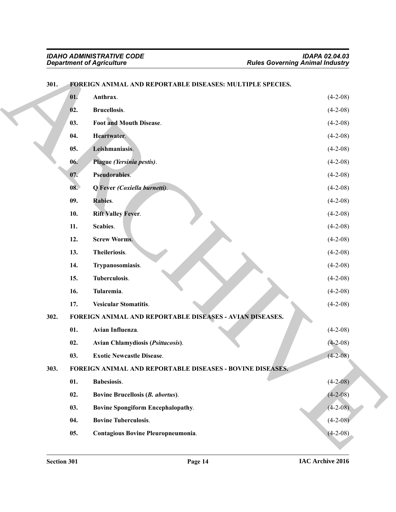|      | <b>Department of Agriculture</b>                          | <b>Rules Governing Animal Industry</b> |  |
|------|-----------------------------------------------------------|----------------------------------------|--|
| 301. | FOREIGN ANIMAL AND REPORTABLE DISEASES: MULTIPLE SPECIES. |                                        |  |
|      | Anthrax.<br>01.                                           | $(4-2-08)$                             |  |
|      | Brucellosis.<br>02.                                       | $(4-2-08)$                             |  |
|      | Foot and Mouth Disease.<br>03.                            | $(4-2-08)$                             |  |
|      | 04.<br>Heartwater.                                        | $(4-2-08)$                             |  |
|      | Leishmaniasis.<br>05.                                     | $(4-2-08)$                             |  |
|      | Plague (Yersinia pestis).<br>06.                          | $(4-2-08)$                             |  |
|      | Pseudorabies.<br>07.                                      | $(4-2-08)$                             |  |
|      | Q Fever (Coxiella burnetti).<br>08.                       | $(4-2-08)$                             |  |
|      | 09.<br>Rabies.                                            | $(4-2-08)$                             |  |
|      | 10.<br><b>Rift Valley Fever.</b>                          | $(4-2-08)$                             |  |
|      | Scabies.<br>11.                                           | $(4-2-08)$                             |  |
|      | 12.<br><b>Screw Worms.</b>                                | $(4-2-08)$                             |  |
|      | 13.<br>Theileriosis.                                      | $(4-2-08)$                             |  |
|      | 14.<br>Trypanosomiasis.                                   | $(4-2-08)$                             |  |
|      | 15.<br>Tuberculosis.                                      | $(4-2-08)$                             |  |
|      | Tularemia.<br>16.                                         | $(4-2-08)$                             |  |
|      | <b>Vesicular Stomatitis.</b><br>17.                       | $(4-2-08)$                             |  |
| 302. | FOREIGN ANIMAL AND REPORTABLE DISEASES - AVIAN DISEASES.  |                                        |  |
|      | 01.<br>Avian Influenza.                                   | $(4-2-08)$                             |  |
|      | 02.<br>Avian Chlamydiosis (Psittacosis).                  | $(4-2-08)$                             |  |
|      | <b>Exotic Newcastle Disease.</b><br>03.                   | $(4 - 2 - 08)$                         |  |
| 303. | FOREIGN ANIMAL AND REPORTABLE DISEASES - BOVINE DISEASES. |                                        |  |
|      | 01.<br>Babesiosis.                                        | $(4-2-08)$                             |  |
|      | 02.<br>Bovine Brucellosis (B. abortus).                   | $(4-2-08)$                             |  |
|      | 03.<br>Bovine Spongiform Encephalopathy.                  | $(4-2-08)$                             |  |
|      | 04.<br><b>Bovine Tuberculosis.</b>                        | $(4-2-08)$                             |  |
|      | 05.<br>Contagious Bovine Pleuropneumonia.                 | $(4-2-08)$                             |  |

#### <span id="page-13-27"></span><span id="page-13-26"></span><span id="page-13-25"></span><span id="page-13-24"></span><span id="page-13-23"></span><span id="page-13-22"></span><span id="page-13-21"></span><span id="page-13-20"></span><span id="page-13-19"></span><span id="page-13-18"></span><span id="page-13-17"></span><span id="page-13-16"></span><span id="page-13-15"></span><span id="page-13-14"></span><span id="page-13-13"></span><span id="page-13-12"></span><span id="page-13-11"></span><span id="page-13-10"></span><span id="page-13-9"></span><span id="page-13-8"></span><span id="page-13-7"></span><span id="page-13-6"></span><span id="page-13-5"></span><span id="page-13-4"></span><span id="page-13-3"></span><span id="page-13-2"></span><span id="page-13-1"></span><span id="page-13-0"></span>**301. FOREIGN ANIMAL AND REPORTABLE DISEASES: MULTIPLE SPECIES.**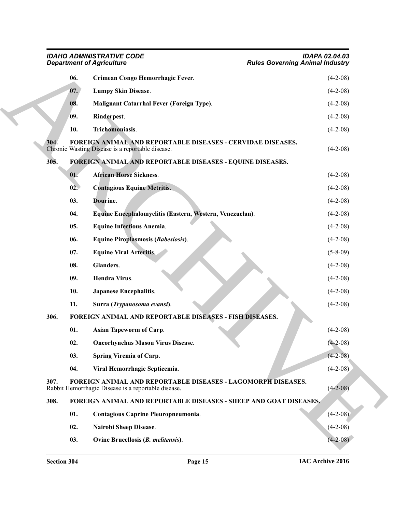<span id="page-14-30"></span><span id="page-14-29"></span><span id="page-14-28"></span><span id="page-14-27"></span><span id="page-14-26"></span><span id="page-14-25"></span><span id="page-14-24"></span><span id="page-14-23"></span><span id="page-14-22"></span><span id="page-14-21"></span><span id="page-14-20"></span><span id="page-14-19"></span><span id="page-14-18"></span><span id="page-14-17"></span><span id="page-14-16"></span><span id="page-14-15"></span><span id="page-14-14"></span><span id="page-14-13"></span><span id="page-14-12"></span><span id="page-14-11"></span><span id="page-14-10"></span><span id="page-14-9"></span><span id="page-14-8"></span><span id="page-14-7"></span><span id="page-14-6"></span><span id="page-14-5"></span><span id="page-14-4"></span><span id="page-14-3"></span><span id="page-14-2"></span><span id="page-14-1"></span><span id="page-14-0"></span>

|      | <b>IDAHO ADMINISTRATIVE CODE</b><br><b>Department of Agriculture</b>                                                   | <b>IDAPA 02.04.03</b><br><b>Rules Governing Animal Industry</b> |
|------|------------------------------------------------------------------------------------------------------------------------|-----------------------------------------------------------------|
| 06.  | Crimean Congo Hemorrhagic Fever.                                                                                       | $(4-2-08)$                                                      |
| 07.  | <b>Lumpy Skin Disease.</b>                                                                                             | $(4-2-08)$                                                      |
| 08.  | <b>Malignant Catarrhal Fever (Foreign Type).</b>                                                                       | $(4-2-08)$                                                      |
| 09.  | Rinderpest.                                                                                                            | $(4-2-08)$                                                      |
| 10.  | Trichomoniasis.                                                                                                        | $(4-2-08)$                                                      |
| 304. | <b>FOREIGN ANIMAL AND REPORTABLE DISEASES - CERVIDAE DISEASES.</b><br>Chronic Wasting Disease is a reportable disease. | $(4-2-08)$                                                      |
| 305. | FOREIGN ANIMAL AND REPORTABLE DISEASES - EQUINE DISEASES.                                                              |                                                                 |
| 01.  | <b>African Horse Sickness.</b>                                                                                         | $(4-2-08)$                                                      |
| 02.  | <b>Contagious Equine Metritis.</b>                                                                                     | $(4-2-08)$                                                      |
| 03.  | Dourine.                                                                                                               | $(4-2-08)$                                                      |
| 04.  | Equine Encephalomyelitis (Eastern, Western, Venezuelan).                                                               | $(4-2-08)$                                                      |
| 05.  | <b>Equine Infectious Anemia.</b>                                                                                       | $(4-2-08)$                                                      |
| 06.  | <b>Equine Piroplasmosis (Babesiosis).</b>                                                                              | $(4-2-08)$                                                      |
| 07.  | <b>Equine Viral Arteritis.</b>                                                                                         | $(5 - 8 - 09)$                                                  |
| 08.  | Glanders.                                                                                                              | $(4-2-08)$                                                      |
| 09.  | Hendra Virus.                                                                                                          | $(4-2-08)$                                                      |
| 10.  | <b>Japanese Encephalitis.</b>                                                                                          | $(4-2-08)$                                                      |
| 11.  | Surra (Trypanosoma evansi).                                                                                            | $(4-2-08)$                                                      |
| 306. | FOREIGN ANIMAL AND REPORTABLE DISEASES - FISH DISEASES.                                                                |                                                                 |
| 01.  | <b>Asian Tapeworm of Carp.</b>                                                                                         | $(4-2-08)$                                                      |
| 02.  | <b>Oncorhynchus Masou Virus Disease.</b>                                                                               | $(4-2-08)$                                                      |
| 03.  | <b>Spring Viremia of Carp.</b>                                                                                         | $(4 - 2 - 08)$                                                  |
| 04.  | Viral Hemorrhagic Septicemia.                                                                                          | $(4-2-08)$                                                      |
| 307. | FOREIGN ANIMAL AND REPORTABLE DISEASES - LAGOMORPH DISEASES.<br>Rabbit Hemorrhagic Disease is a reportable disease.    | $(4-2-08)$                                                      |
| 308. | FOREIGN ANIMAL AND REPORTABLE DISEASES - SHEEP AND GOAT DISEASES.                                                      |                                                                 |
| 01.  | Contagious Caprine Pleuropneumonia.                                                                                    | $(4-2-08)$                                                      |
| 02.  | Nairobi Sheep Disease.                                                                                                 | $(4-2-08)$                                                      |
| 03.  | Ovine Brucellosis (B. melitensis).                                                                                     | $(4-2-08)$                                                      |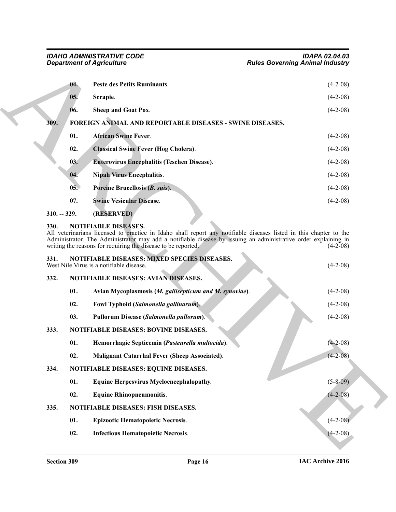<span id="page-15-13"></span><span id="page-15-12"></span><span id="page-15-11"></span><span id="page-15-10"></span><span id="page-15-9"></span><span id="page-15-8"></span><span id="page-15-0"></span>

|               | 04. | <b>Peste des Petits Ruminants.</b>                              | $(4-2-08)$ |
|---------------|-----|-----------------------------------------------------------------|------------|
|               | 05. | Scrapie.                                                        | $(4-2-08)$ |
|               | 06. | Sheep and Goat Pox.                                             | $(4-2-08)$ |
| 309.          |     | <b>FOREIGN ANIMAL AND REPORTABLE DISEASES - SWINE DISEASES.</b> |            |
|               | 01. | <b>African Swine Fever.</b>                                     | $(4-2-08)$ |
|               | 02. | <b>Classical Swine Fever (Hog Cholera).</b>                     | $(4-2-08)$ |
|               | 03. | <b>Enterovirus Encephalitis (Teschen Disease).</b>              | $(4-2-08)$ |
|               | 04. | <b>Nipah Virus Encephalitis.</b>                                | $(4-2-08)$ |
|               | 05. | Porcine Brucellosis (B. suis).                                  | $(4-2-08)$ |
|               | 07. | <b>Swine Vesicular Disease.</b>                                 | $(4-2-08)$ |
| $310. - 329.$ |     | (RESERVED)                                                      |            |
| 330.          |     | <b>NOTIFIABLE DISEASES.</b>                                     |            |

<span id="page-15-27"></span><span id="page-15-26"></span><span id="page-15-25"></span><span id="page-15-24"></span><span id="page-15-23"></span><span id="page-15-22"></span><span id="page-15-21"></span><span id="page-15-20"></span><span id="page-15-19"></span><span id="page-15-18"></span><span id="page-15-17"></span><span id="page-15-16"></span><span id="page-15-15"></span><span id="page-15-14"></span><span id="page-15-7"></span><span id="page-15-6"></span><span id="page-15-5"></span><span id="page-15-4"></span><span id="page-15-3"></span><span id="page-15-2"></span><span id="page-15-1"></span>All veterinarians licensed to practice in Idaho shall report any notifiable diseases listed in this chapter to the Administrator. The Administrator may add a notifiable disease by issuing an administrative order explaining in writing the reasons for requiring the disease to be reported. (4-2-08) writing the reasons for requiring the disease to be reported.

# Gegard of Agriculture<br>
1. Period on Picti Ruminum.<br>
1. The disc Covereign Animal is desired (4-2.08)<br>
1. Series Contact Manufacture<br>
1. African Solution Reflect Debter).<br>
1. African Solution Reflect Debter).<br>
1. African S **331. NOTIFIABLE DISEASES: MIXED SPECIES DISEASES.** West Nile Virus is a notifiable disease. (4-2-08) **332. NOTIFIABLE DISEASES: AVIAN DISEASES. 01. Avian Mycoplasmosis (***M. gallisepticum and M. synoviae***)**. (4-2-08) **02. Fowl Typhoid (***Salmonella gallinarum***)**. (4-2-08) **03. Pullorum Disease (***Salmonella pullorum***)**. (4-2-08) **333. NOTIFIABLE DISEASES: BOVINE DISEASES. 01. Hemorrhagic Septicemia (***Pasteurella multocida***)**. (4-2-08) **02. Malignant Catarrhal Fever (Sheep Associated)**. (4-2-08) **334. NOTIFIABLE DISEASES: EQUINE DISEASES. 01. Equine Herpesvirus Myeloencephalopathy**. (5-8-09) **02. Equine Rhinopneumonitis**. (4-2-08) **335. NOTIFIABLE DISEASES: FISH DISEASES. 01. Epizootic Hematopoietic Necrosis**. (4-2-08) **02. Infectious Hematopoietic Necrosis**. (4-2-08)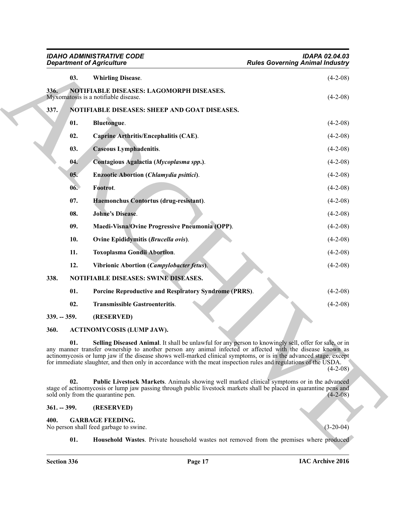<span id="page-16-16"></span><span id="page-16-15"></span><span id="page-16-14"></span><span id="page-16-13"></span><span id="page-16-12"></span><span id="page-16-11"></span><span id="page-16-10"></span><span id="page-16-1"></span><span id="page-16-0"></span>

| <b>IDAHO ADMINISTRATIVE CODE</b><br><b>Department of Agriculture</b> |                                                                                                                                                                                                                                                                                                                                                                                                                                                             | <b>IDAPA 02.04.03</b><br><b>Rules Governing Animal Industry</b> |  |
|----------------------------------------------------------------------|-------------------------------------------------------------------------------------------------------------------------------------------------------------------------------------------------------------------------------------------------------------------------------------------------------------------------------------------------------------------------------------------------------------------------------------------------------------|-----------------------------------------------------------------|--|
| 03.                                                                  | <b>Whirling Disease.</b>                                                                                                                                                                                                                                                                                                                                                                                                                                    | $(4-2-08)$                                                      |  |
| 336.                                                                 | NOTIFIABLE DISEASES: LAGOMORPH DISEASES.<br>Myxomatosis is a notifiable disease.                                                                                                                                                                                                                                                                                                                                                                            | $(4-2-08)$                                                      |  |
| 337.                                                                 | NOTIFIABLE DISEASES: SHEEP AND GOAT DISEASES.                                                                                                                                                                                                                                                                                                                                                                                                               |                                                                 |  |
| 01.                                                                  | <b>Bluetongue.</b>                                                                                                                                                                                                                                                                                                                                                                                                                                          | $(4-2-08)$                                                      |  |
| 02.                                                                  | Caprine Arthritis/Encephalitis (CAE).                                                                                                                                                                                                                                                                                                                                                                                                                       | $(4-2-08)$                                                      |  |
| 03.                                                                  | <b>Caseous Lymphadenitis.</b>                                                                                                                                                                                                                                                                                                                                                                                                                               | $(4-2-08)$                                                      |  |
| 04.                                                                  | Contagious Agalactia (Mycoplasma spp.).                                                                                                                                                                                                                                                                                                                                                                                                                     | $(4-2-08)$                                                      |  |
| 05.                                                                  | Enzootic Abortion (Chlamydia psittici).                                                                                                                                                                                                                                                                                                                                                                                                                     | $(4-2-08)$                                                      |  |
| 06.                                                                  | Footrot.                                                                                                                                                                                                                                                                                                                                                                                                                                                    | $(4-2-08)$                                                      |  |
| 07.                                                                  | Haemonchus Contortus (drug-resistant).                                                                                                                                                                                                                                                                                                                                                                                                                      | $(4-2-08)$                                                      |  |
| 08.                                                                  | <b>Johne's Disease.</b>                                                                                                                                                                                                                                                                                                                                                                                                                                     | $(4-2-08)$                                                      |  |
| 09.                                                                  | Maedi-Visna/Ovine Progressive Pneumonia (OPP).                                                                                                                                                                                                                                                                                                                                                                                                              | $(4-2-08)$                                                      |  |
| 10.                                                                  | Ovine Epididymitis (Brucella ovis).                                                                                                                                                                                                                                                                                                                                                                                                                         | $(4-2-08)$                                                      |  |
| 11.                                                                  | <b>Toxoplasma Gondii Abortion.</b>                                                                                                                                                                                                                                                                                                                                                                                                                          | $(4-2-08)$                                                      |  |
| 12.                                                                  | Vibrionic Abortion (Campylobacter fetus).                                                                                                                                                                                                                                                                                                                                                                                                                   | $(4-2-08)$                                                      |  |
| 338.                                                                 | NOTIFIABLE DISEASES: SWINE DISEASES.                                                                                                                                                                                                                                                                                                                                                                                                                        |                                                                 |  |
| 01.                                                                  | Porcine Reproductive and Respiratory Syndrome (PRRS).                                                                                                                                                                                                                                                                                                                                                                                                       | $(4-2-08)$                                                      |  |
| 02.                                                                  | <b>Transmissible Gastroenteritis.</b>                                                                                                                                                                                                                                                                                                                                                                                                                       | $(4-2-08)$                                                      |  |
| $339. - 359.$                                                        | (RESERVED)                                                                                                                                                                                                                                                                                                                                                                                                                                                  |                                                                 |  |
| 360.                                                                 | <b>ACTINOMYCOSIS (LUMP JAW).</b>                                                                                                                                                                                                                                                                                                                                                                                                                            |                                                                 |  |
| 01.                                                                  | Selling Diseased Animal. It shall be unlawful for any person to knowingly sell, offer for sale, or in<br>any manner transfer ownership to another person any animal infected or affected with the disease known as<br>actinomycosis or lump jaw if the disease shows well-marked clinical symptoms, or is in the advanced stage, except<br>for immediate slaughter, and then only in accordance with the meat inspection rules and regulations of the USDA. | $(4-2-08)$                                                      |  |
| 02.                                                                  | Public Livestock Markets. Animals showing well marked clinical symptoms or in the advanced<br>stage of actinomycosis or lump jaw passing through public livestock markets shall be placed in quarantine pens and<br>sold only from the quarantine pen.                                                                                                                                                                                                      | $(4-2-08)$                                                      |  |
| $361. - 399.$                                                        | (RESERVED)                                                                                                                                                                                                                                                                                                                                                                                                                                                  |                                                                 |  |
| 400.                                                                 | <b>GARBAGE FEEDING.</b><br>No person shall feed garbage to swine.                                                                                                                                                                                                                                                                                                                                                                                           | $(3-20-04)$                                                     |  |
| 01.                                                                  | <b>Household Wastes</b> . Private household wastes not removed from the premises where produced                                                                                                                                                                                                                                                                                                                                                             |                                                                 |  |

#### <span id="page-16-25"></span><span id="page-16-24"></span><span id="page-16-23"></span><span id="page-16-22"></span><span id="page-16-21"></span><span id="page-16-20"></span><span id="page-16-19"></span><span id="page-16-18"></span><span id="page-16-17"></span><span id="page-16-8"></span><span id="page-16-4"></span><span id="page-16-3"></span><span id="page-16-2"></span>**360. ACTINOMYCOSIS (LUMP JAW).**

#### <span id="page-16-9"></span><span id="page-16-7"></span><span id="page-16-6"></span><span id="page-16-5"></span>**361. -- 399. (RESERVED)**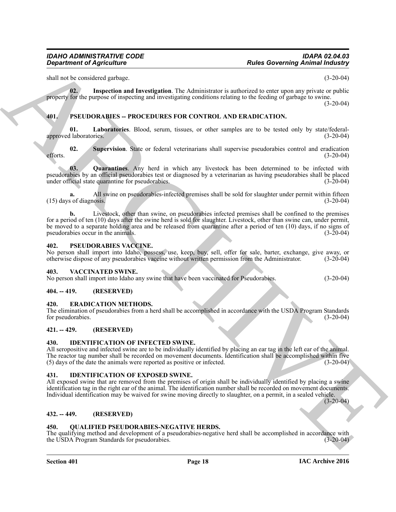<span id="page-17-11"></span>shall not be considered garbage. (3-20-04)

**02. Inspection and Investigation**. The Administrator is authorized to enter upon any private or public property for the purpose of inspecting and investigating conditions relating to the feeding of garbage to swine.

(3-20-04)

#### <span id="page-17-0"></span>**401. PSEUDORABIES -- PROCEDURES FOR CONTROL AND ERADICATION.**

<span id="page-17-14"></span>**01. Laboratories**. Blood, serum, tissues, or other samples are to be tested only by state/federalapproved laboratories. (3-20-04)

<span id="page-17-16"></span>**02.** Supervision. State or federal veterinarians shall supervise pseudorabies control and eradication (3-20-04) efforts.  $(3-20-04)$ 

<span id="page-17-15"></span>**03. Quarantines**. Any herd in which any livestock has been determined to be infected with pseudorabies by an official pseudorabies test or diagnosed by a veterinarian as having pseudorabies shall be placed under official state quarantine for pseudorabies.

**a.** All swine on pseudorabies-infected premises shall be sold for slaughter under permit within fifteen s of diagnosis. (3-20-04)  $(15)$  days of diagnosis.

**Equivariant of Agriculture Constraints and the state of the state of the state of the state of the state of the state of the state of the state of the state of the state of the state of the state of the state of the stat b.** Livestock, other than swine, on pseudorabies infected premises shall be confined to the premises for a period of ten (10) days after the swine herd is sold for slaughter. Livestock, other than swine can, under permit, be moved to a separate holding area and be released from quarantine after a period of ten (10) days, if no signs of pseudorabies occur in the animals. (3-20-04) pseudorabies occur in the animals.

#### <span id="page-17-17"></span><span id="page-17-1"></span>**402. PSEUDORABIES VACCINE.**

No person shall import into Idaho, possess, use, keep, buy, sell, offer for sale, barter, exchange, give away, or otherwise dispose of any pseudorabies vaccine without written permission from the Administrator. (3-20-04) otherwise dispose of any pseudorabies vaccine without written permission from the Administrator.

#### <span id="page-17-19"></span><span id="page-17-2"></span>**403. VACCINATED SWINE.**

No person shall import into Idaho any swine that have been vaccinated for Pseudorabies. (3-20-04)

#### <span id="page-17-3"></span>**404. -- 419. (RESERVED)**

#### <span id="page-17-10"></span><span id="page-17-4"></span>**420. ERADICATION METHODS.**

The elimination of pseudorabies from a herd shall be accomplished in accordance with the USDA Program Standards for pseudorabies. (3-20-04) for pseudorabies.

#### <span id="page-17-5"></span>**421. -- 429. (RESERVED)**

#### <span id="page-17-13"></span><span id="page-17-6"></span>**430. IDENTIFICATION OF INFECTED SWINE.**

All seropositive and infected swine are to be individually identified by placing an ear tag in the left ear of the animal. The reactor tag number shall be recorded on movement documents. Identification shall be accomplished within five (5) days of the date the animals were reported as positive or infected. (3-20-04)  $(5)$  days of the date the animals were reported as positive or infected.

#### <span id="page-17-12"></span><span id="page-17-7"></span>**431. IDENTIFICATION OF EXPOSED SWINE.**

All exposed swine that are removed from the premises of origin shall be individually identified by placing a swine identification tag in the right ear of the animal. The identification number shall be recorded on movement documents. Individual identification may be waived for swine moving directly to slaughter, on a permit, in a sealed vehicle.

 $(3-20-04)$ 

#### <span id="page-17-8"></span>**432. -- 449. (RESERVED)**

#### <span id="page-17-18"></span><span id="page-17-9"></span>**450. QUALIFIED PSEUDORABIES-NEGATIVE HERDS.**

The qualifying method and development of a pseudorabies-negative herd shall be accomplished in accordance with the USDA Program Standards for pseudorabies. (3-20-04) the USDA Program Standards for pseudorabies.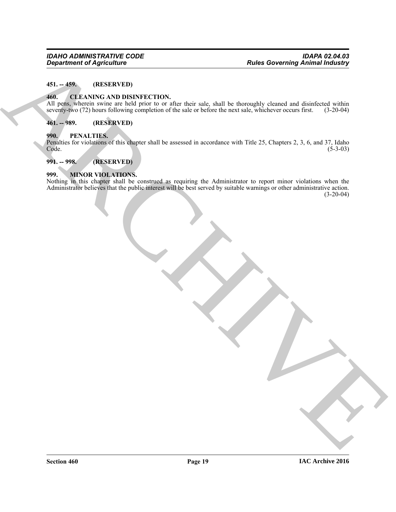#### <span id="page-18-0"></span>**451. -- 459. (RESERVED)**

#### <span id="page-18-6"></span><span id="page-18-1"></span>**460. CLEANING AND DISINFECTION.**

All pens, wherein swine are held prior to or after their sale, shall be thoroughly cleaned and disinfected within seventy-two (72) hours following completion of the sale or before the next sale, whichever occurs first. (3-20-04)

#### <span id="page-18-2"></span>**461. -- 989. (RESERVED)**

#### <span id="page-18-3"></span>**990. PENALTIES.**

Penalties for violations of this chapter shall be assessed in accordance with Title 25, Chapters 2, 3, 6, and 37, Idaho Code. (5-3-03) Code. (5-3-03)

#### <span id="page-18-4"></span>**991. -- 998. (RESERVED)**

#### <span id="page-18-5"></span>**999. MINOR VIOLATIONS.**

Equation of Agriculture<br>
441. CLEANING AND DISNIFIC TION<br>
461. CLEANING AND DISNIFIC TION<br>
ARCHIVES AND DISNIFIC TION<br>
ARCHIVES AND DISNIFIC TION<br>
201. SECOND CONTRACTOR SURVEY TO SEE THAT ARE ARCHIVES USING A SURVEY OF T Nothing in this chapter shall be construed as requiring the Administrator to report minor violations when the Administrator believes that the public interest will be best served by suitable warnings or other administrative action.  $(3-20-04)$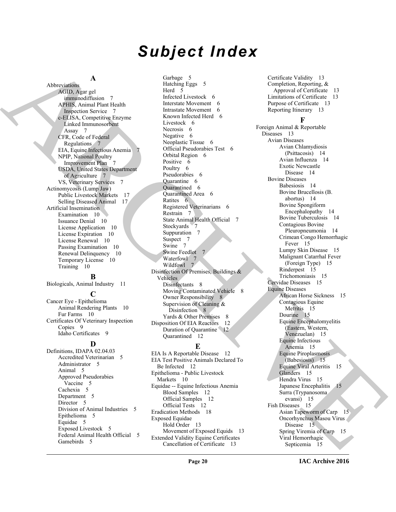# *Subject Index*

#### **A**

Abbreviations AGID, Agar gel immunodiffusion 7 APHIS, Animal Plant Health Inspection Service 7 c-ELISA, Competitive Enzyme Linked Immunosorbent Assay 7 CFR, Code of Federal Regulations 7 EIA, Equine Infectious Anemia 7 NPIP, National Poultry Improvement Plan 7 USDA, United States Department of Agriculture 7 VS, Veterinary Services 7 Actinomycosis (Lump Jaw) Public Livestock Markets 17 Selling Diseased Animal 17 Artificial Insemination Examination 10 Issuance Denial 10 License Application 10 License Expiration 10 License Renewal 10 Passing Examination 10 Renewal Delinquency 10 Temporary License 10 Training 10

#### **B**

Biologicals, Animal Industry 11

#### **C**

Cancer Eye - Epithelioma Animal Rendering Plants 10 Fur Farms 10 Certificates Of Veterinary Inspection Copies 9 Idaho Certificates 9

**D**

Definitions, IDAPA 02.04.03 Accredited Veterinarian 5 Administrator 5 Animal 5 Approved Pseudorabies Vaccine 5 Cachexia 5 Department 5 Director 5 Division of Animal Industries 5 Epithelioma 5 Equidae 5 Exposed Livestock 5 Federal Animal Health Official 5 Gamebirds 5

Garbage 5 Hatching Eggs 5 Herd 5 Infected Livestock 6 Interstate Movement 6 Intrastate Movement 6 Known Infected Herd 6 Livestock 6 Necrosis 6 Negative 6 Neoplastic Tissue 6 Official Pseudorabies Test 6 Orbital Region 6 Positive 6 Poultry 6 Pseudorabies 6 Quarantine 6 Quarantined 6 Quarantined Area 6 Ratites 6 Registered Veterinarians 6 Restrain 7 State Animal Health Official 7 Stockyards 7 Suppuration 7 Suspect 7 Swine 7 Swine Feedlot 7 Waterfowl 7 Wildfowl 7 Disinfection Of Premises, Buildings & Vehicles Disinfectants 8 Moving Contaminated Vehicle 8 Owner Responsibility 8 Supervision of Cleaning & Disinfection 8 Yards & Other Premises 8 Disposition Of EIA Reactors 12 Duration of Quarantine 12 Quarantined 12

#### **E**

EIA Is A Reportable Disease 12 EIA Test Positive Animals Declared To Be Infected 12 Epithelioma - Public Livestock Markets 10 Equidae -- Equine Infectious Anemia Blood Samples 12 Official Samples 12 Official Tests 12 Eradication Methods 18 Exposed Equidae Hold Order 13 Movement of Exposed Equids 13 Extended Validity Equine Certificates Cancellation of Certificate 13

Certificate Validity 13 Completion, Reporting, & Approval of Certificate 13 Limitations of Certificate 13 Purpose of Certificate 13 Reporting Itinerary 13

#### **F**

[AR](#page-6-6)[C](#page-6-10)[H](#page-7-9)IT[E](#page-14-21)CTURE CONTINUOUS CONTINUOUS CONTINUOUS CONTINUOUS CONTINUOUS CONTINUOUS CONTINUOUS CONTINUOUS CONTINUOUS CONTINUOUS CONTINUOUS CONTINUOUS CONTINUOUS CONTINUOUS CONTINUOUS CONTINUOUS CONTINUOUS CONTINUOUS CONTINUOUS Foreign Animal & Reportable Diseases 13 Avian Diseases Avian Chlamydiosis (Psittacosis) 14 Avian Influenza 14 Exotic Newcastle Disease 14 Bovine Diseases Babesiosis 14 Bovine Brucellosis (B. abortus) 14 Bovine Spongiform Encephalopathy 14 Bovine Tuberculosis 14 Contagious Bovine Pleuropneumonia 14 Crimean Congo Hemorrhagic Fever 15 Lumpy Skin Disease 15 Malignant Catarrhal Fever (Foreign Type) 15 Rinderpest 15 Trichomoniasis 15 Cervidae Diseases 15 Equine Diseases African Horse Sickness 15 Contagious Equine Metritis 15 Dourine 15 Equine Encephalomyelitis (Eastern, Western, Venezuelan) 15 Equine Infectious Anemia 15 Equine Piroplasmosis (Babesiosis) 15 Equine Viral Arteritis 15 Glanders 15 Hendra Virus 15 Japanese Encephalitis 15 Surra (Trypanosoma evansi) 15 Fish Diseases 15 Asian Tapeworm of Carp 15 Oncorhynchus Masou Virus Disease 15 Spring Viremia of Carp 15 Viral Hemorrhagic Septicemia 15

**IAC Archive 2016**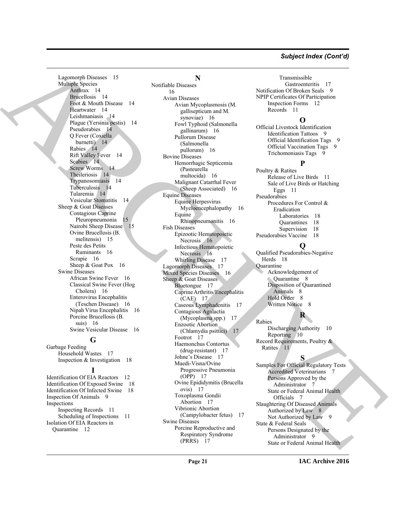#### *Subject Index (Cont'd)*

Lagomorph Diseases 15 Multiple Species Anthrax 14 Brucellosis 14 Foot & Mouth Disease 14 Heartwater 14 Leishmaniasis 14 Plague (Yersinia pestis) 14 Pseudorabies 14 Q Fever (Coxiella burnetti) 14 Rabies 14 Rift Valley Fever 14 Scabies 14 Screw Worms 14 Theileriosis 14 Trypanosomiasis 14 Tuberculosis 14 Tularemia 14 Vesicular Stomatitis 14 Sheep & Goat Diseases Contagious Caprine Pleuropneumonia 15 Nairobi Sheep Disease 15 Ovine Brucellosis (B. melitensis) 15 Peste des Petits Ruminants 16 Scrapie 16 Sheep & Goat Pox 16 Swine Diseases African Swine Fever 16 Classical Swine Fever (Hog Cholera) 16 Enterovirus Encephalitis (Teschen Disease) 16 Nipah Virus Encephalitis 16 Porcine Brucellosis (B. suis) 16 Swine Vesicular Disease 16

#### **G**

Garbage Feeding Household Wastes 17 Inspection & Investigation 18

#### **I**

Identification Of EIA Reactors 12 Identification Of Exposed Swine 18 Identification Of Infected Swine 18 Inspection Of Animals 9 Inspections Inspecting Records 11 Scheduling of Inspections 11 Isolation Of EIA Reactors in Quarantine 12

## **N**

[AR](#page-13-18)[C](#page-15-22)[H](#page-15-25)[I](#page-7-12)[V](#page-10-13)[E](#page-6-22) Notifiable Diseases 16 Avian Diseases Avian Mycoplasmosis (M. gallisepticum and M. synoviae) 16 Fowl Typhoid (Salmonella gallinarum) 16 Pullorum Disease (Salmonella pullorum) 16 Bovine Diseases Hemorrhagic Septicemia (Pasteurella multocida) 16 Malignant Catarrhal Fever (Sheep Associated) 16 Equine Diseases Equine Herpesvirus Myeloencephalopathy 16 Equine Rhinopneumonitis 16 Fish Diseases Epizootic Hematopoietic Necrosis 16 Infectious Hematopoietic Necrosis 16 Whirling Disease 17 Lagomorph Diseases 17 Mixed Species Diseases 16 Sheep & Goat Diseases Bluetongue 17 Caprine Arthritis/Encephalitis (CAE) 17 Caseous Lymphadenitis 17 Contagious Agalactia (Mycoplasma spp.) 17 Enzootic Abortion (Chlamydia psittici) 17 Footrot 17 Haemonchus Contortus (drug-resistant) 17 Johne's Disease 17 Maedi-Visna/Ovine Progressive Pneumonia (OPP) 17 Ovine Epididymitis (Brucella ovis) 17 Toxoplasma Gondii Abortion 17 Vibrionic Abortion (Campylobacter fetus) 17 Swine Diseases Porcine Reproductive and Respiratory Syndrome (PRRS) 17

Transmissible Gastroenteritis 17 Notification Of Broken Seals 9 NPIP Certificates Of Participation Inspection Forms 12 Records 11

#### **O**

Official Livestock Identification Identification Tattoos 9 Official Identification Tags 9 Official Vaccination Tags 9 Trichomoniasis Tags 9

#### **P**

Poultry & Ratites Release of Live Birds 11 Sale of Live Birds or Hatching Eggs 11 Pseudorabies Procedures For Control & Eradication Laboratories 18 Quarantines 18 Supervision 18 Pseudorabies Vaccine 18

#### **Q**

Qualified Pseudorabies-Negative Herds 18 **Quarantine** Acknowledgement of Quarantine 8 Disposition of Quarantined Animals 8 Hold Order 8 Written Notice 8

## **R**

Rabies Discharging Authority 10 Reporting 10 Record Requirements, Poultry & Ratites 11

#### **S**

Samples For Official Regulatory Tests Accredited Veterinarians Persons Approved by the Administrator 7 State or Federal Animal Health Officials 7 Slaughtering Of Diseased Animals Authorized by Law 8 Not Authorized by Law 9 State & Federal Seals Persons Designated by the Administrator 9 State or Federal Animal Health

**IAC Archive 2016**